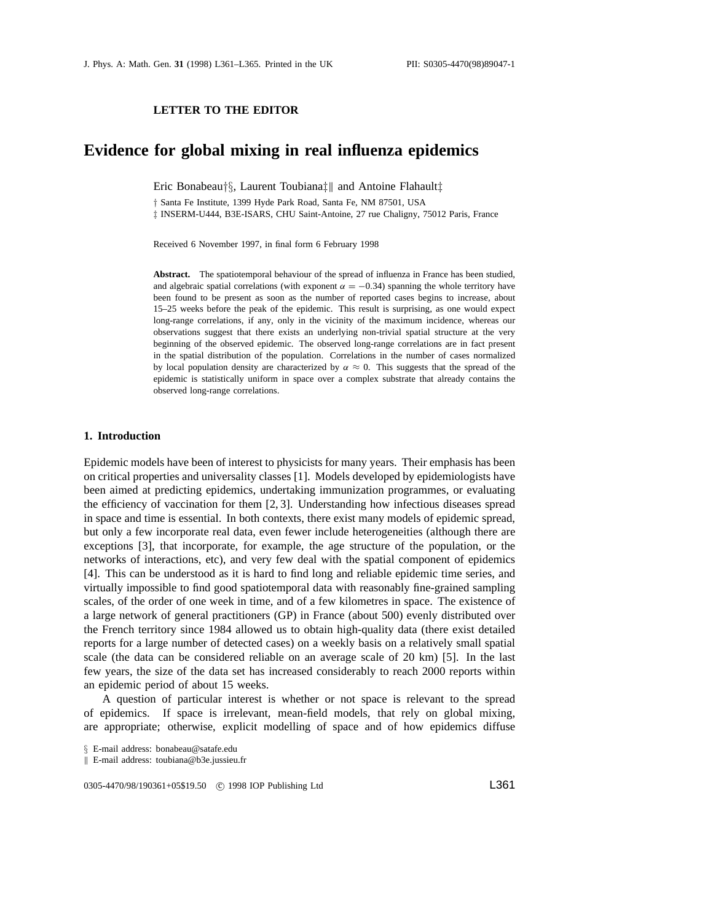## **LETTER TO THE EDITOR**

## **Evidence for global mixing in real influenza epidemics**

Eric Bonabeau*†§*, Laurent Toubiana*‡*k and Antoine Flahault*‡*

*†* Santa Fe Institute, 1399 Hyde Park Road, Santa Fe, NM 87501, USA *‡* INSERM-U444, B3E-ISARS, CHU Saint-Antoine, 27 rue Chaligny, 75012 Paris, France

Received 6 November 1997, in final form 6 February 1998

**Abstract.** The spatiotemporal behaviour of the spread of influenza in France has been studied, and algebraic spatial correlations (with exponent  $\alpha = -0.34$ ) spanning the whole territory have been found to be present as soon as the number of reported cases begins to increase, about 15–25 weeks before the peak of the epidemic. This result is surprising, as one would expect long-range correlations, if any, only in the vicinity of the maximum incidence, whereas our observations suggest that there exists an underlying non-trivial spatial structure at the very beginning of the observed epidemic. The observed long-range correlations are in fact present in the spatial distribution of the population. Correlations in the number of cases normalized by local population density are characterized by  $\alpha \approx 0$ . This suggests that the spread of the epidemic is statistically uniform in space over a complex substrate that already contains the observed long-range correlations.

## **1. Introduction**

Epidemic models have been of interest to physicists for many years. Their emphasis has been on critical properties and universality classes [1]. Models developed by epidemiologists have been aimed at predicting epidemics, undertaking immunization programmes, or evaluating the efficiency of vaccination for them [2, 3]. Understanding how infectious diseases spread in space and time is essential. In both contexts, there exist many models of epidemic spread, but only a few incorporate real data, even fewer include heterogeneities (although there are exceptions [3], that incorporate, for example, the age structure of the population, or the networks of interactions, etc), and very few deal with the spatial component of epidemics [4]. This can be understood as it is hard to find long and reliable epidemic time series, and virtually impossible to find good spatiotemporal data with reasonably fine-grained sampling scales, of the order of one week in time, and of a few kilometres in space. The existence of a large network of general practitioners (GP) in France (about 500) evenly distributed over the French territory since 1984 allowed us to obtain high-quality data (there exist detailed reports for a large number of detected cases) on a weekly basis on a relatively small spatial scale (the data can be considered reliable on an average scale of 20 km) [5]. In the last few years, the size of the data set has increased considerably to reach 2000 reports within an epidemic period of about 15 weeks.

A question of particular interest is whether or not space is relevant to the spread of epidemics. If space is irrelevant, mean-field models, that rely on global mixing, are appropriate; otherwise, explicit modelling of space and of how epidemics diffuse

*§* E-mail address: bonabeau@satafe.edu

k E-mail address: toubiana@b3e.jussieu.fr

0305-4470/98/190361+05\$19.50 © 1998 IOP Publishing Ltd L361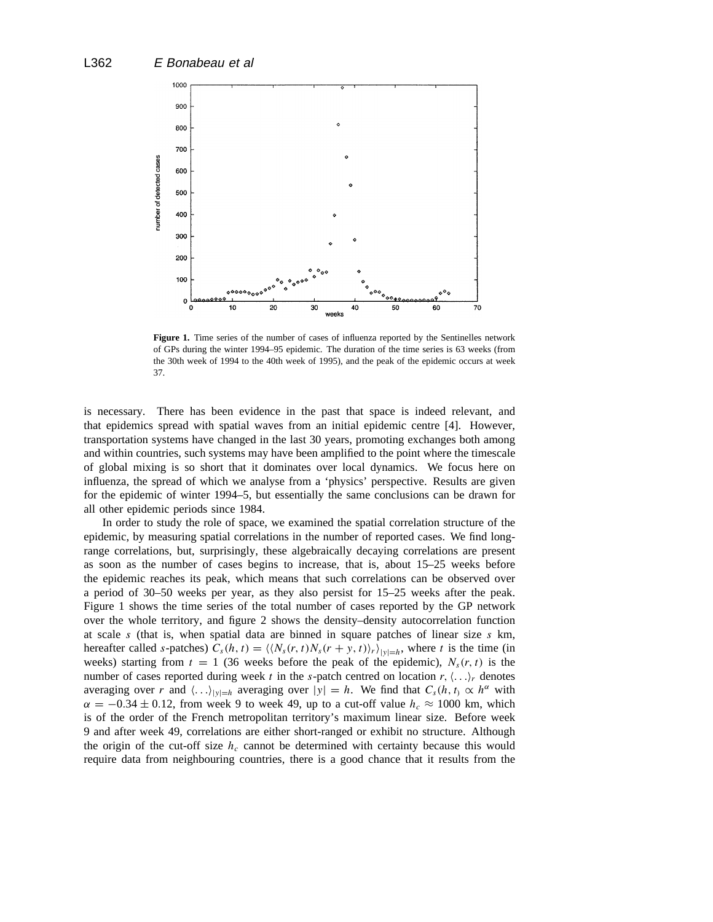

Figure 1. Time series of the number of cases of influenza reported by the Sentinelles network of GPs during the winter 1994–95 epidemic. The duration of the time series is 63 weeks (from the 30th week of 1994 to the 40th week of 1995), and the peak of the epidemic occurs at week 37.

is necessary. There has been evidence in the past that space is indeed relevant, and that epidemics spread with spatial waves from an initial epidemic centre [4]. However, transportation systems have changed in the last 30 years, promoting exchanges both among and within countries, such systems may have been amplified to the point where the timescale of global mixing is so short that it dominates over local dynamics. We focus here on influenza, the spread of which we analyse from a 'physics' perspective. Results are given for the epidemic of winter 1994–5, but essentially the same conclusions can be drawn for all other epidemic periods since 1984.

In order to study the role of space, we examined the spatial correlation structure of the epidemic, by measuring spatial correlations in the number of reported cases. We find longrange correlations, but, surprisingly, these algebraically decaying correlations are present as soon as the number of cases begins to increase, that is, about 15–25 weeks before the epidemic reaches its peak, which means that such correlations can be observed over a period of 30–50 weeks per year, as they also persist for 15–25 weeks after the peak. Figure 1 shows the time series of the total number of cases reported by the GP network over the whole territory, and figure 2 shows the density–density autocorrelation function at scale *s* (that is, when spatial data are binned in square patches of linear size *s* km, hereafter called *s*-patches)  $C_s(h, t) = \langle \langle N_s(r, t)N_s(r + y, t) \rangle_r \rangle_{|y|=h}$ , where *t* is the time (in weeks) starting from  $t = 1$  (36 weeks before the peak of the epidemic),  $N_s(r, t)$  is the number of cases reported during week *t* in the *s*-patch centred on location  $r, \langle \ldots \rangle_r$  denotes averaging over *r* and  $\langle \ldots \rangle_{|y|=h}$  averaging over  $|y| = h$ . We find that  $C_s(h, t) \propto h^\alpha$  with  $\alpha = -0.34 \pm 0.12$ , from week 9 to week 49, up to a cut-off value  $h_c \approx 1000$  km, which is of the order of the French metropolitan territory's maximum linear size. Before week 9 and after week 49, correlations are either short-ranged or exhibit no structure. Although the origin of the cut-off size  $h_c$  cannot be determined with certainty because this would require data from neighbouring countries, there is a good chance that it results from the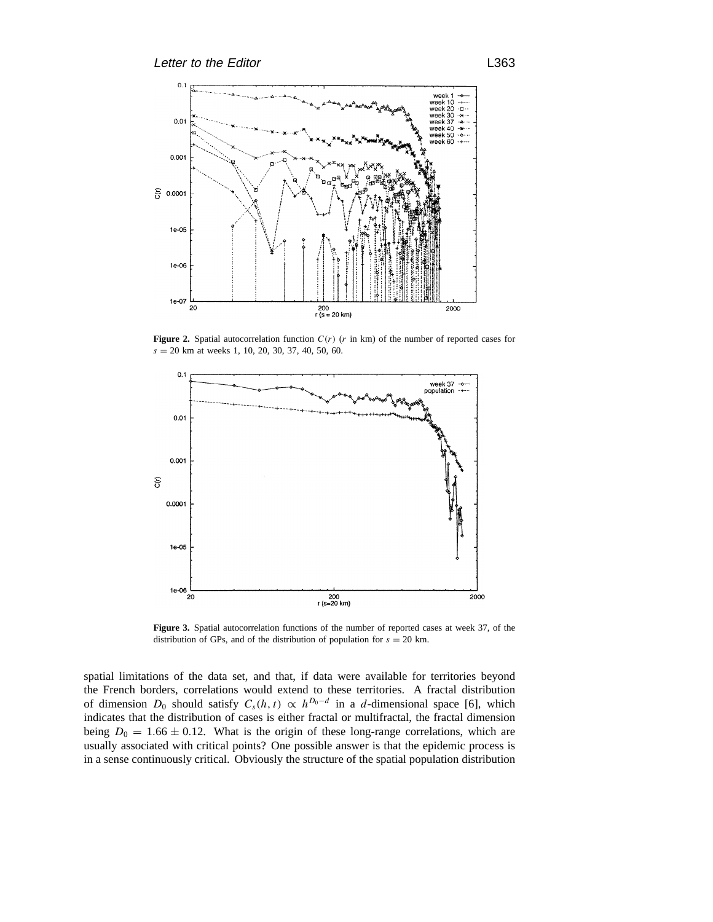

**Figure 2.** Spatial autocorrelation function *C(r)* (*r* in km) of the number of reported cases for *s* = 20 km at weeks 1, 10, 20, 30, 37, 40, 50, 60.



**Figure 3.** Spatial autocorrelation functions of the number of reported cases at week 37, of the distribution of GPs, and of the distribution of population for  $s = 20$  km.

spatial limitations of the data set, and that, if data were available for territories beyond the French borders, correlations would extend to these territories. A fractal distribution of dimension *D*<sub>0</sub> should satisfy  $C_s(h, t) \propto h^{D_0 - d}$  in a *d*-dimensional space [6], which indicates that the distribution of cases is either fractal or multifractal, the fractal dimension being  $D_0 = 1.66 \pm 0.12$ . What is the origin of these long-range correlations, which are usually associated with critical points? One possible answer is that the epidemic process is in a sense continuously critical. Obviously the structure of the spatial population distribution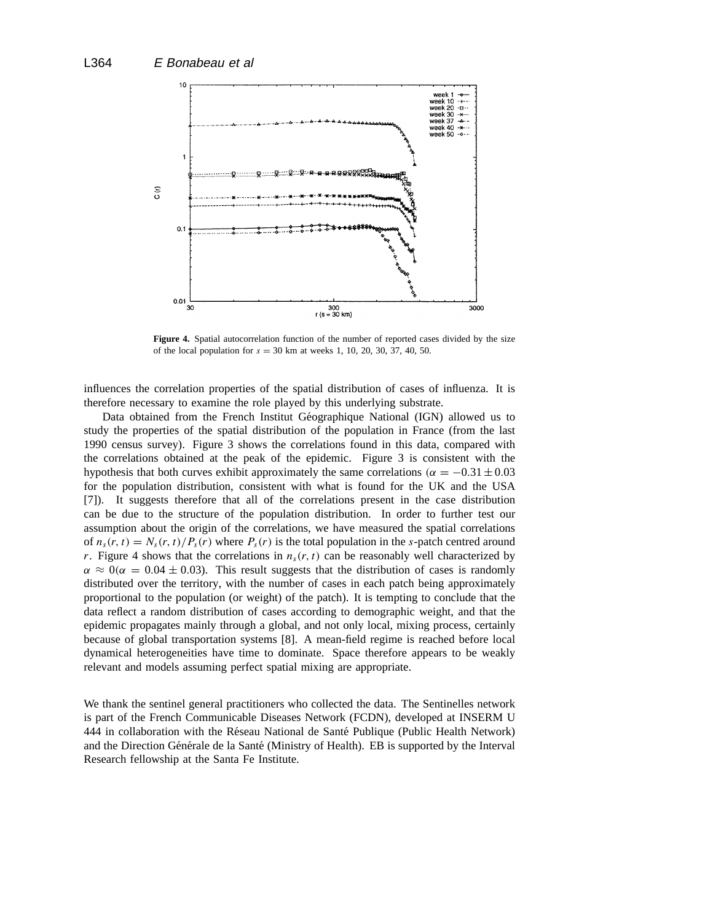

**Figure 4.** Spatial autocorrelation function of the number of reported cases divided by the size of the local population for  $s = 30$  km at weeks 1, 10, 20, 30, 37, 40, 50.

influences the correlation properties of the spatial distribution of cases of influenza. It is therefore necessary to examine the role played by this underlying substrate.

Data obtained from the French Institut Géographique National (IGN) allowed us to study the properties of the spatial distribution of the population in France (from the last 1990 census survey). Figure 3 shows the correlations found in this data, compared with the correlations obtained at the peak of the epidemic. Figure 3 is consistent with the hypothesis that both curves exhibit approximately the same correlations  $(\alpha = -0.31 \pm 0.03$ for the population distribution, consistent with what is found for the UK and the USA [7]). It suggests therefore that all of the correlations present in the case distribution can be due to the structure of the population distribution. In order to further test our assumption about the origin of the correlations, we have measured the spatial correlations of  $n_s(r, t) = N_s(r, t)/P_s(r)$  where  $P_s(r)$  is the total population in the *s*-patch centred around *r*. Figure 4 shows that the correlations in  $n<sub>s</sub>(r, t)$  can be reasonably well characterized by  $\alpha \approx 0$ ( $\alpha = 0.04 \pm 0.03$ ). This result suggests that the distribution of cases is randomly distributed over the territory, with the number of cases in each patch being approximately proportional to the population (or weight) of the patch). It is tempting to conclude that the data reflect a random distribution of cases according to demographic weight, and that the epidemic propagates mainly through a global, and not only local, mixing process, certainly because of global transportation systems [8]. A mean-field regime is reached before local dynamical heterogeneities have time to dominate. Space therefore appears to be weakly relevant and models assuming perfect spatial mixing are appropriate.

We thank the sentinel general practitioners who collected the data. The Sentinelles network is part of the French Communicable Diseases Network (FCDN), developed at INSERM U 444 in collaboration with the Réseau National de Santé Publique (Public Health Network) and the Direction Générale de la Santé (Ministry of Health). EB is supported by the Interval Research fellowship at the Santa Fe Institute.